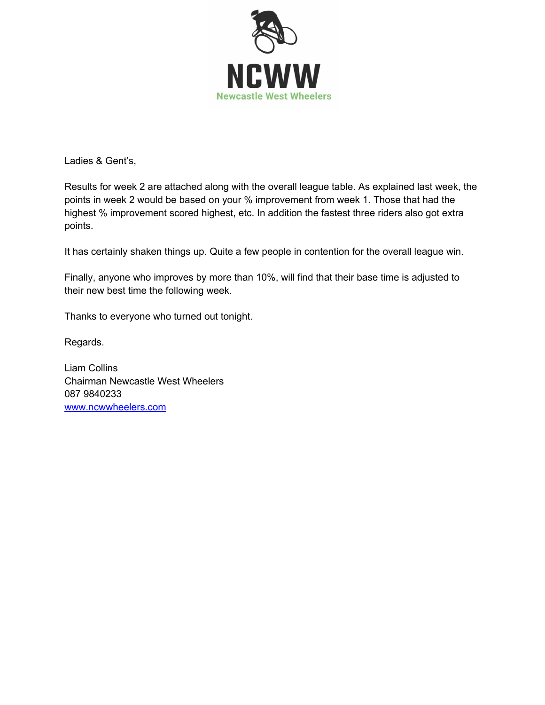

Ladies & Gent's,

Results for week 2 are attached along with the overall league table. As explained last week, the points in week 2 would be based on your % improvement from week 1. Those that had the highest % improvement scored highest, etc. In addition the fastest three riders also got extra points.

It has certainly shaken things up. Quite a few people in contention for the overall league win.

Finally, anyone who improves by more than 10%, will find that their base time is adjusted to their new best time the following week.

Thanks to everyone who turned out tonight.

Regards.

Liam Collins Chairman Newcastle West Wheelers 087 9840233 www.ncwwheelers.com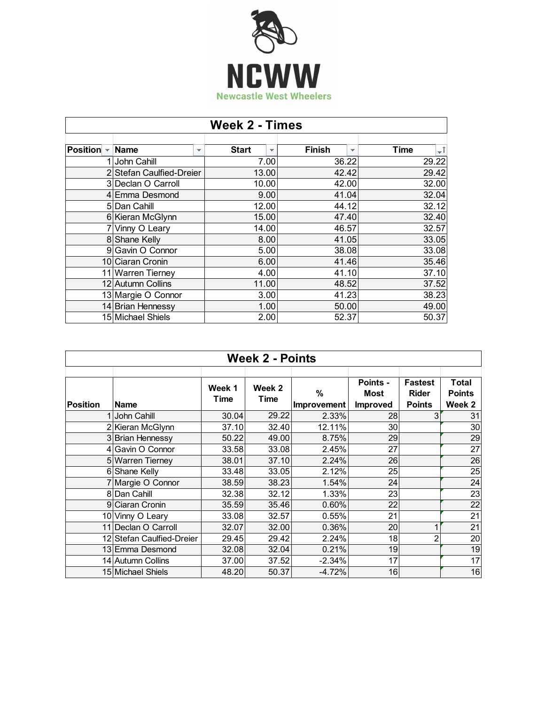

| <b>Week 2 - Times</b> |                                         |                                          |                                           |       |  |  |  |
|-----------------------|-----------------------------------------|------------------------------------------|-------------------------------------------|-------|--|--|--|
| <b>Position</b>       | <b>Name</b><br>$\overline{\phantom{a}}$ | <b>Start</b><br>$\overline{\phantom{a}}$ | <b>Finish</b><br>$\overline{\phantom{a}}$ | Time  |  |  |  |
|                       |                                         |                                          |                                           | ۰Î    |  |  |  |
|                       | John Cahill                             | 7.00                                     | 36.22                                     | 29.22 |  |  |  |
|                       | Stefan Caulfied-Dreier                  | 13.00                                    | 42.42                                     | 29.42 |  |  |  |
|                       | 3 Declan O Carroll                      | 10.00                                    | 42.00                                     | 32.00 |  |  |  |
|                       | 4 Emma Desmond                          | 9.00                                     | 41.04                                     | 32.04 |  |  |  |
|                       | 5 Dan Cahill                            | 12.00                                    | 44.12                                     | 32.12 |  |  |  |
|                       | 6 Kieran McGlynn                        | 15.00                                    | 47.40                                     | 32.40 |  |  |  |
|                       | Vinny O Leary                           | 14.00                                    | 46.57                                     | 32.57 |  |  |  |
|                       | 8 Shane Kelly                           | 8.00                                     | 41.05                                     | 33.05 |  |  |  |
|                       | 9 Gavin O Connor                        | 5.00                                     | 38.08                                     | 33.08 |  |  |  |
|                       | 10 Ciaran Cronin                        | 6.00                                     | 41.46                                     | 35.46 |  |  |  |
|                       | 11 Warren Tierney                       | 4.00                                     | 41.10                                     | 37.10 |  |  |  |
|                       | 12 Autumn Collins                       | 11.00                                    | 48.52                                     | 37.52 |  |  |  |
|                       | 13 Margie O Connor                      | 3.00                                     | 41.23                                     | 38.23 |  |  |  |
|                       | 14 Brian Hennessy                       | 1.00                                     | 50.00                                     | 49.00 |  |  |  |
|                       | 15 Michael Shiels                       | 2.00                                     | 52.37                                     | 50.37 |  |  |  |

| <b>Week 2 - Points</b> |                           |                |                |                  |                                            |                                                 |                                  |  |
|------------------------|---------------------------|----------------|----------------|------------------|--------------------------------------------|-------------------------------------------------|----------------------------------|--|
| Position               | <b>Name</b>               | Week 1<br>Time | Week 2<br>Time | %<br>Improvement | Points -<br><b>Most</b><br><b>Improved</b> | <b>Fastest</b><br><b>Rider</b><br><b>Points</b> | Total<br><b>Points</b><br>Week 2 |  |
|                        | 1 John Cahill             | 30.04          | 29.22          | 2.33%            | 28                                         | 3                                               | 31                               |  |
|                        | 2 Kieran McGlynn          | 37.10          | 32.40          | 12.11%           | 30                                         |                                                 | 30                               |  |
|                        | 3 Brian Hennessy          | 50.22          | 49.00          | 8.75%            | 29                                         |                                                 | 29                               |  |
|                        | 4 Gavin O Connor          | 33.58          | 33.08          | 2.45%            | 27                                         |                                                 | $\overline{27}$                  |  |
|                        | 5 Warren Tierney          | 38.01          | 37.10          | 2.24%            | 26                                         |                                                 | 26                               |  |
|                        | 6 Shane Kelly             | 33.48          | 33.05          | 2.12%            | 25                                         |                                                 | 25                               |  |
|                        | 7 Margie O Connor         | 38.59          | 38.23          | 1.54%            | 24                                         |                                                 | 24                               |  |
|                        | 8 Dan Cahill              | 32.38          | 32.12          | 1.33%            | 23                                         |                                                 | 23                               |  |
|                        | 9 Ciaran Cronin           | 35.59          | 35.46          | 0.60%            | 22                                         |                                                 | 22                               |  |
|                        | 10 Vinny O Leary          | 33.08          | 32.57          | 0.55%            | 21                                         |                                                 | 21                               |  |
|                        | 11 Declan O Carroll       | 32.07          | 32.00          | 0.36%            | 20                                         |                                                 | 21                               |  |
|                        | 12 Stefan Caulfied-Dreier | 29.45          | 29.42          | 2.24%            | 18                                         | 2                                               | 20                               |  |
|                        | 13 Emma Desmond           | 32.08          | 32.04          | 0.21%            | 19                                         |                                                 | 19                               |  |
|                        | 14 Autumn Collins         | 37.00          | 37.52          | $-2.34%$         | 17                                         |                                                 | 17                               |  |
|                        | 15 Michael Shiels         | 48.20          | 50.37          | $-4.72%$         | 16                                         |                                                 | 16                               |  |